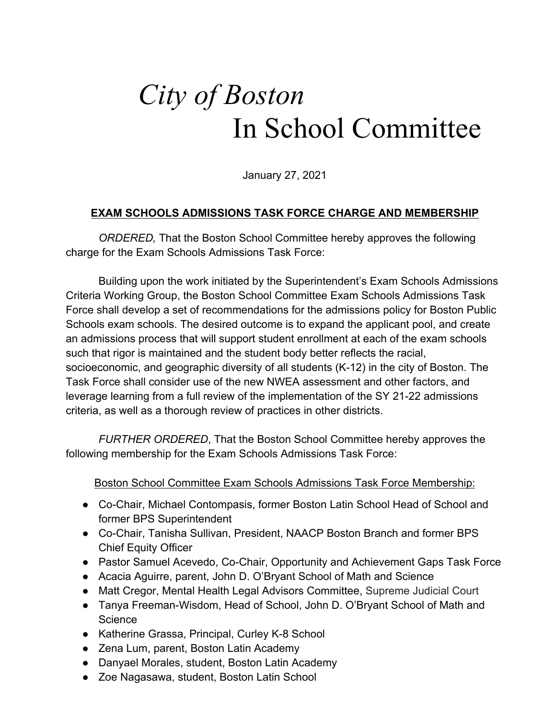## *City of Boston*  In School Committee

January 27, 2021

## **EXAM SCHOOLS ADMISSIONS TASK FORCE CHARGE AND MEMBERSHIP**

*ORDERED,* That the Boston School Committee hereby approves the following charge for the Exam Schools Admissions Task Force:

Building upon the work initiated by the Superintendent's Exam Schools Admissions Criteria Working Group, the Boston School Committee Exam Schools Admissions Task Force shall develop a set of recommendations for the admissions policy for Boston Public Schools exam schools. The desired outcome is to expand the applicant pool, and create an admissions process that will support student enrollment at each of the exam schools such that rigor is maintained and the student body better reflects the racial, socioeconomic, and geographic diversity of all students (K-12) in the city of Boston. The Task Force shall consider use of the new NWEA assessment and other factors, and leverage learning from a full review of the implementation of the SY 21-22 admissions criteria, as well as a thorough review of practices in other districts.

*FURTHER ORDERED*, That the Boston School Committee hereby approves the following membership for the Exam Schools Admissions Task Force:

## Boston School Committee Exam Schools Admissions Task Force Membership:

- Co-Chair, Michael Contompasis, former Boston Latin School Head of School and former BPS Superintendent
- Co-Chair, Tanisha Sullivan, President, NAACP Boston Branch and former BPS Chief Equity Officer
- Pastor Samuel Acevedo, Co-Chair, Opportunity and Achievement Gaps Task Force
- Acacia Aguirre, parent, John D. O'Bryant School of Math and Science
- Matt Cregor, Mental Health Legal Advisors Committee, Supreme Judicial Court
- Tanya Freeman-Wisdom, Head of School, John D. O'Bryant School of Math and **Science**
- Katherine Grassa, Principal, Curley K-8 School
- Zena Lum, parent, Boston Latin Academy
- Danyael Morales, student, Boston Latin Academy
- Zoe Nagasawa, student, Boston Latin School